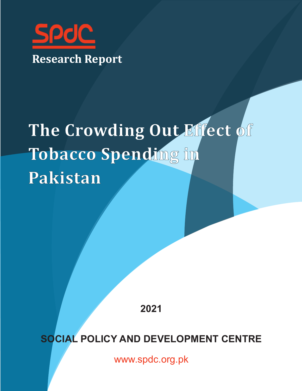

# **The Crowding Out Effect of Tobacco Spending in Pakistan**

**2021**

**SOCIAL POLICY AND DEVELOPMENT CENTRE**

www.spdc.org.pk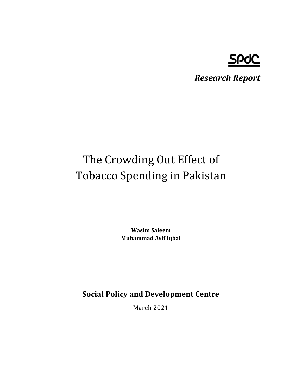## **SPOC**

*Research Report*

## The Crowding Out Effect of Tobacco Spending in Pakistan

**Wasim Saleem Muhammad Asif Iqbal**

**Social Policy and Development Centre**

March 2021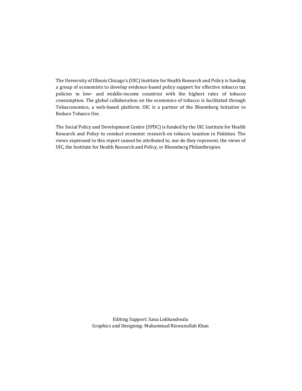The University of Illinois Chicago's (UIC) Institute for Health Research and Policy is funding a group of economists to develop evidence-based policy support for effective tobacco tax policies in low- and middle-income countries with the highest rates of tobacco consumption. The global collaboration on the economics of tobacco is facilitated through Tobacconomics, a web-based platform. UIC is a partner of the Bloomberg Initiative to Reduce Tobacco Use.

The Social Policy and Development Centre (SPDC) is funded by the UIC Institute for Health Research and Policy to conduct economic research on tobacco taxation in Pakistan. The views expressed in this report cannot be attributed to, nor do they represent, the views of UIC, the Institute for Health Research and Policy, or Bloomberg Philanthropies.

> Editing Support: Sana Lokhandwala Graphics and Designing: Muhammad Rizwanullah Khan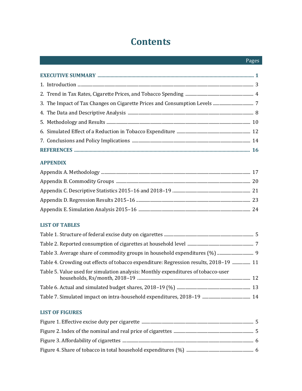## **Contents**

#### **APPENDIX**

#### **LIST OF TABLES**

| Table 4. Crowding out effects of tobacco expenditure: Regression results, 2018-19  11 |  |
|---------------------------------------------------------------------------------------|--|
| Table 5. Value used for simulation analysis: Monthly expenditures of tobacco-user     |  |
|                                                                                       |  |
|                                                                                       |  |

#### **LIST OF FIGURES**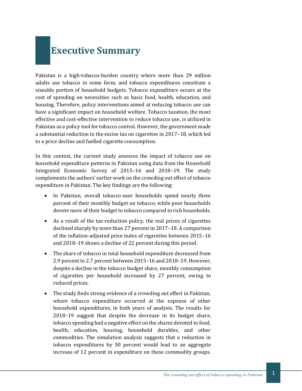## **Executive Summary**

Pakistan is a high-tobacco-burden country where more than 29 million adults use tobacco in some form, and tobacco expenditures constitute a sizeable portion of household budgets. Tobacco expenditure occurs at the cost of spending on necessities such as basic food, health, education, and housing. Therefore, policy interventions aimed at reducing tobacco use can have a significant impact on household welfare. Tobacco taxation, the most effective and cost-effective intervention to reduce tobacco use, is utilized in Pakistan as a policy tool for tobacco control. However, the government made a substantial reduction to the excise tax on cigarettes in 2017–18, which led to a price decline and fuelled cigarette consumption.

In this context, the current study assesses the impact of tobacco use on household expenditure patterns in Pakistan using data from the Household Integrated Economic Survey of 2015–16 and 2018–19. The study complements the authors' earlier work on the crowding out effect of tobacco expenditure in Pakistan. The key findings are the following:

- In Pakistan, overall tobacco-user households spend nearly three percent of their monthly budget on tobacco, while poor households devote more of their budget to tobacco compared to rich households.
- As a result of the tax-reduction policy, the real prices of cigarettes declined sharply by more than 27 percent in 2017–18. A comparison of the inflation-adjusted price index of cigarettes between 2015–16 and 2018–19 shows a decline of 22 percent during this period.
- The share of tobacco in total household expenditure decreased from 2.9 percent to 2.7 percent between 2015–16 and 2018–19. However, despite a decline in the tobacco budget share, monthly consumption of cigarettes per household increased by 27 percent, owing to reduced prices.
- The study finds strong evidence of a crowding out effect in Pakistan, where tobacco expenditure occurred at the expense of other household expenditures, in both years of analysis. The results for 2018–19 suggest that despite the decrease in its budget share, tobacco spending had a negative effect on the shares devoted to food, health, education, housing, household durables, and other commodities. The simulation analysis suggests that a reduction in tobacco expenditures by 50 percent would lead to an aggregate increase of 12 percent in expenditure on these commodity groups.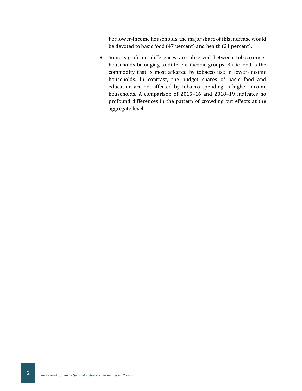For lower-income households, the major share of this increase would be devoted to basic food (47 percent) and health (21 percent).

• Some significant differences are observed between tobacco-user households belonging to different income groups. Basic food is the commodity that is most affected by tobacco use in lower-income households. In contrast, the budget shares of basic food and education are not affected by tobacco spending in higher-income households. A comparison of 2015–16 and 2018–19 indicates no profound differences in the pattern of crowding out effects at the aggregate level.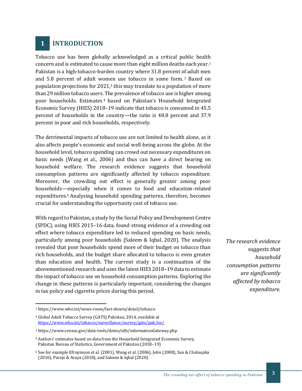### **1 INTRODUCTION**

Tobacco use has been globally acknowledged as a critical public health concern and is estimated to cause more than eight million deaths each year.<sup>1</sup> Pakistan is a high-tobacco-burden country where 31.8 percent of adult men and 5.8 percent of adult women use tobacco in some form. <sup>2</sup> Based on population projections for 2021,<sup>3</sup> this may translate to a population of more than 29 million tobacco users. The prevalence of tobacco use is higher among poor households. Estimates <sup>4</sup> based on Pakistan's Household Integrated Economic Survey (HIES) 2018–19 indicate that tobacco is consumed in 45.5 percent of households in the country—the ratio is 48.8 percent and 37.9 percent in poor and rich households, respectively.

The detrimental impacts of tobacco use are not limited to health alone, as it also affects people's economic and social well-being across the globe. At the household level, tobacco spending can crowd out necessary expenditures on basic needs (Wang et al., 2006) and thus can have a direct bearing on household welfare. The research evidence suggests that household consumption patterns are significantly affected by tobacco expenditure. Moreover, the crowding out effect is generally greater among poor households—especially when it comes to food and education-related expenditures.<sup>5</sup> Analysing household spending patterns, therefore, becomes crucial for understanding the opportunity cost of tobacco use.

With regard to Pakistan, a study by the Social Policy and Development Centre (SPDC), using HIES 2015–16 data, found strong evidence of a crowding out effect where tobacco expenditure led to reduced spending on basic needs, particularly among poor households (Saleem & Iqbal, 2020). The analysis revealed that poor households spend more of their budget on tobacco than rich households, and the budget share allocated to tobacco is even greater than education and health. The current study is a continuation of the abovementioned research and uses the latest HIES 2018–19 data to estimate the impact of tobacco use on household consumption patterns. Exploring the change in these patterns is particularly important, considering the changes in tax policy and cigarette prices during this period.

*The research evidence suggests that household consumption patterns are significantly affected by tobacco expenditure.*

<sup>1</sup> https://www.who.int/news-room/fact-sheets/detail/tobacco

<sup>2</sup> Global Adult Tobacco Survey (GATS) Pakistan, 2014, available at <https://www.who.int/tobacco/surveillance/survey/gats/pak/en/>

<sup>3</sup> https://www.census.gov/data-tools/demo/idb/informationGateway.php

<sup>4</sup> Authors' estimates based on data from the Household Integrated Economic Survey, Pakistan Bureau of Statistics, Government of Pakistan (2018–19)

<sup>5</sup> See for example Efroymson et al. (2001), Wang et al. (2006), John (2008), San & Chaloupka (2016), Paraje & Araya (2018), and Saleem & Iqbal (2020).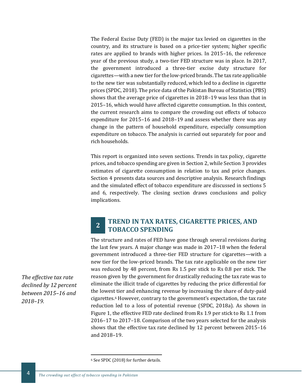The Federal Excise Duty (FED) is the major tax levied on cigarettes in the country, and its structure is based on a price-tier system; higher specific rates are applied to brands with higher prices. In 2015–16, the reference year of the previous study, a two-tier FED structure was in place. In 2017, the government introduced a three-tier excise duty structure for cigarettes—with a new tier for the low-priced brands. The tax rate applicable to the new tier was substantially reduced, which led to a decline in cigarette prices (SPDC, 2018). The price data of the Pakistan Bureau of Statistics (PBS) shows that the average price of cigarettes in 2018–19 was less than that in 2015–16, which would have affected cigarette consumption. In this context, the current research aims to compare the crowding out effects of tobacco expenditure for 2015–16 and 2018–19 and assess whether there was any change in the pattern of household expenditure, especially consumption expenditure on tobacco. The analysis is carried out separately for poor and rich households.

This report is organized into seven sections. Trends in tax policy, cigarette prices, and tobacco spending are given in Section 2, while Section 3 provides estimates of cigarette consumption in relation to tax and price changes. Section 4 presents data sources and descriptive analysis. Research findings and the simulated effect of tobacco expenditure are discussed in sections 5 and 6, respectively. The closing section draws conclusions and policy implications.

#### **2 TREND IN TAX RATES, CIGARETTE PRICES, AND TOBACCO SPENDING**

The structure and rates of FED have gone through several revisions during the last few years. A major change was made in 2017–18 when the federal government introduced a three-tier FED structure for cigarettes—with a new tier for the low-priced brands. The tax rate applicable on the new tier was reduced by 48 percent, from Rs 1.5 per stick to Rs 0.8 per stick. The reason given by the government for drastically reducing the tax rate was to eliminate the illicit trade of cigarettes by reducing the price differential for the lowest tier and enhancing revenue by increasing the share of duty-paid cigarettes.<sup>6</sup> However, contrary to the government's expectation, the tax rate reduction led to a loss of potential revenue (SPDC, 2018a). As shown in Figure 1, the effective FED rate declined from Rs 1.9 per stick to Rs 1.1 from 2016–17 to 2017–18. Comparison of the two years selected for the analysis shows that the effective tax rate declined by 12 percent between 2015–16 and 2018–19.

<sup>6</sup> See SPDC (2018) for further details.

*The effective tax rate declined by 12 percent between 2015–16 and 2018–19.*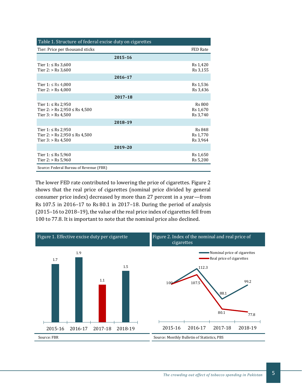| Table 1. Structure of federal excise duty on cigarettes                           |         |                                       |
|-----------------------------------------------------------------------------------|---------|---------------------------------------|
| Tier: Price per thousand sticks                                                   |         | FED Rate                              |
|                                                                                   | 2015-16 |                                       |
| Tier 1: ≤ Rs 3,600<br>Tier $2:$ > Rs 3,600                                        |         | Rs 1,420<br>Rs 3,155                  |
|                                                                                   | 2016-17 |                                       |
| Tier 1: ≤ Rs 4,000<br>Tier $2:$ > Rs 4,000                                        |         | Rs 1,536<br>Rs 3,436                  |
|                                                                                   | 2017-18 |                                       |
| Tier 1: ≤ Rs 2,950<br>Tier 2: $>$ Rs 2,950 $\le$ Rs 4,500<br>Tier $3:$ > Rs 4,500 |         | <b>Rs 800</b><br>Rs 1,670<br>Rs 3,740 |
|                                                                                   | 2018-19 |                                       |
| Tier 1: ≤ Rs 2,950<br>Tier 2: $>$ Rs 2,950 $\le$ Rs 4,500<br>Tier $3:$ > Rs 4,500 |         | <b>Rs 848</b><br>Rs 1,770<br>Rs 3,964 |
|                                                                                   | 2019-20 |                                       |
| Tier 1: ≤ Rs 5,960<br>Tier $2:$ > Rs 5,960                                        |         | Rs 1,650<br>Rs 5,200                  |
| Source: Federal Bureau of Revenue (FBR)                                           |         |                                       |

The lower FED rate contributed to lowering the price of cigarettes. Figure 2 shows that the real price of cigarettes (nominal price divided by general consumer price index) decreased by more than 27 percent in a year—from Rs 107.5 in 2016–17 to Rs 80.1 in 2017–18. During the period of analysis (2015–16 to 2018–19), the value of the real price index of cigarettes fell from 100 to 77.8. It is important to note that the nominal price also declined.

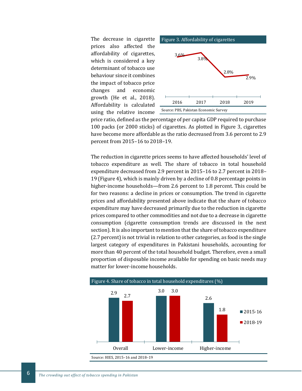The decrease in cigarette prices also affected the affordability of cigarettes, which is considered a key determinant of tobacco use behaviour since it combines the impact of tobacco price changes and economic growth (He et al., 2018). Affordability is calculated using the relative income





price ratio, defined as the percentage of per capita GDP required to purchase 100 packs (or 2000 sticks) of cigarettes. As plotted in Figure 3, cigarettes have become more affordable as the ratio decreased from 3.6 percent to 2.9 percent from 2015–16 to 2018–19.

The reduction in cigarette prices seems to have affected households' level of tobacco expenditure as well. The share of tobacco in total household expenditure decreased from 2.9 percent in 2015–16 to 2.7 percent in 2018– 19 (Figure 4), which is mainly driven by a decline of 0.8 percentage points in higher-income households—from 2.6 percent to 1.8 percent. This could be for two reasons: a decline in prices or consumption. The trend in cigarette prices and affordability presented above indicate that the share of tobacco expenditure may have decreased primarily due to the reduction in cigarette prices compared to other commodities and not due to a decrease in cigarette consumption (cigarette consumption trends are discussed in the next section). It is also important to mention that the share of tobacco expenditure (2.7 percent) is not trivial in relation to other categories, as food is the single largest category of expenditures in Pakistani households, accounting for more than 40 percent of the total household budget. Therefore, even a small proportion of disposable income available for spending on basic needs may matter for lower-income households.



*The crowding out effect of tobacco spending in Pakistan* 6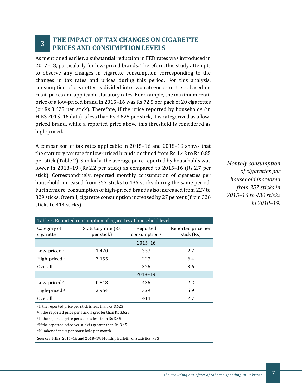#### **3 THE IMPACT OF TAX CHANGES ON CIGARETTE PRICES AND CONSUMPTION LEVELS**

As mentioned earlier, a substantial reduction in FED rates was introduced in 2017–18, particularly for low-priced brands. Therefore, this study attempts to observe any changes in cigarette consumption corresponding to the changes in tax rates and prices during this period. For this analysis, consumption of cigarettes is divided into two categories or tiers, based on retail prices and applicable statutory rates. For example, the maximum retail price of a low-priced brand in 2015–16 was Rs 72.5 per pack of 20 cigarettes (or Rs 3.625 per stick). Therefore, if the price reported by households (in HIES 2015–16 data) is less than Rs 3.625 per stick, it is categorized as a lowpriced brand, while a reported price above this threshold is considered as high-priced.

A comparison of tax rates applicable in 2015–16 and 2018–19 shows that the statutory tax rate for low-priced brands declined from Rs 1.42 to Rs 0.85 per stick (Table 2). Similarly, the average price reported by households was lower in 2018–19 (Rs 2.2 per stick) as compared to 2015–16 (Rs 2.7 per stick). Correspondingly, reported monthly consumption of cigarettes per household increased from 357 sticks to 436 sticks during the same period. Furthermore, consumption of high-priced brands also increased from 227 to 329 sticks. Overall, cigarette consumption increased by 27 percent (from 326 sticks to 414 sticks).

| Table 2. Reported consumption of cigarettes at household level |                                  |                                      |                                  |  |  |  |  |  |
|----------------------------------------------------------------|----------------------------------|--------------------------------------|----------------------------------|--|--|--|--|--|
| Category of<br>cigarette                                       | Statutory rate (Rs<br>per stick) | Reported<br>consumption <sup>e</sup> | Reported price per<br>stick (Rs) |  |  |  |  |  |
|                                                                |                                  | $2015 - 16$                          |                                  |  |  |  |  |  |
| Low-priced a                                                   | 1.420                            | 357                                  | 2.7                              |  |  |  |  |  |
| High-priced b                                                  | 3.155                            | 227                                  | 6.4                              |  |  |  |  |  |
| Overall                                                        |                                  | 326                                  | 3.6                              |  |  |  |  |  |
|                                                                |                                  | 2018-19                              |                                  |  |  |  |  |  |
| Low-priced c                                                   | 0.848                            | 436                                  | 2.2                              |  |  |  |  |  |
| High-priced <sup>d</sup>                                       | 3.964                            | 329                                  | 5.9                              |  |  |  |  |  |
| Overall                                                        |                                  | 414                                  | 2.7                              |  |  |  |  |  |

<sup>a</sup> If the reported price per stick is less than Rs 3.625

<sup>b</sup> If the reported price per stick is greater than Rs 3.625

<sup>c</sup> If the reported price per stick is less than Rs 3.45

<sup>d</sup> If the reported price per stick is greater than Rs 3.45

<sup>e</sup>Number of sticks per household per month

Sources: HIES, 2015–16 and 2018–19; Monthly Bulletin of Statistics, PBS

*Monthly consumption of cigarettes per household increased from 357 sticks in 2015–16 to 436 sticks in 2018–19.*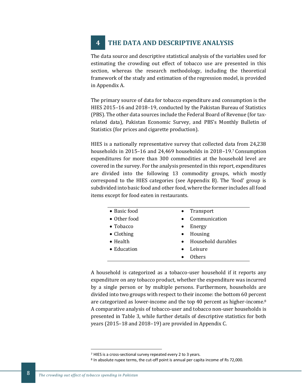### **4 THE DATA AND DESCRIPTIVE ANALYSIS**

The data source and descriptive statistical analysis of the variables used for estimating the crowding out effect of tobacco use are presented in this section, whereas the research methodology, including the theoretical framework of the study and estimation of the regression model, is provided in Appendix A.

The primary source of data for tobacco expenditure and consumption is the HIES 2015–16 and 2018–19, conducted by the Pakistan Bureau of Statistics (PBS). The other data sources include the Federal Board of Revenue (for taxrelated data), Pakistan Economic Survey, and PBS's Monthly Bulletin of Statistics (for prices and cigarette production).

HIES is a nationally representative survey that collected data from 24,238 households in 2015–16 and 24,469 households in 2018–19.<sup>7</sup> Consumption expenditures for more than 300 commodities at the household level are covered in the survey. For the analysis presented in this report, expenditures are divided into the following 13 commodity groups, which mostly correspond to the HIES categories (see Appendix B). The 'food' group is subdivided into basic food and other food, where the former includes all food items except for food eaten in restaurants.

| $\bullet$ Basic food | Transport<br>$\bullet$          |
|----------------------|---------------------------------|
| • Other food         | Communication<br>$\bullet$      |
| • Tobacco            | Energy<br>$\bullet$             |
| • Clothing           | Housing<br>$\bullet$            |
| $\bullet$ Health     | Household durables<br>$\bullet$ |
| $\bullet$ Education  | Leisure<br>$\bullet$            |
|                      | <b>Others</b>                   |

A household is categorized as a tobacco-user household if it reports any expenditure on any tobacco product, whether the expenditure was incurred by a single person or by multiple persons. Furthermore, households are divided into two groups with respect to their income: the bottom 60 percent are categorized as lower-income and the top 40 percent as higher-income.<sup>8</sup> A comparative analysis of tobacco-user and tobacco non-user households is presented in Table 3, while further details of descriptive statistics for both years (2015–18 and 2018–19) are provided in Appendix C.

<sup>7</sup> HIES is a cross-sectional survey repeated every 2 to 3 years.

<sup>&</sup>lt;sup>8</sup> In absolute rupee terms, the cut-off point is annual per capita income of Rs 72,000.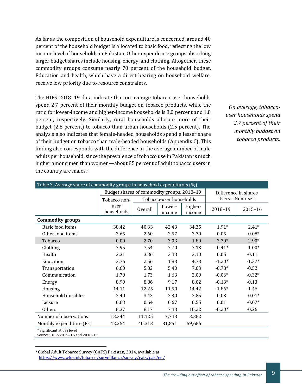As far as the composition of household expenditure is concerned, around 40 percent of the household budget is allocated to basic food, reflecting the low income level of households in Pakistan. Other expenditure groups absorbing larger budget shares include housing, energy, and clothing. Altogether, these commodity groups consume nearly 70 percent of the household budget. Education and health, which have a direct bearing on household welfare, receive low priority due to resource constraints.

The HIES 2018–19 data indicate that on average tobacco-user households spend 2.7 percent of their monthly budget on tobacco products, while the ratio for lower-income and higher-income households is 3.0 percent and 1.8 percent, respectively. Similarly, rural households allocate more of their budget (2.8 percent) to tobacco than urban households (2.5 percent). The analysis also indicates that female-headed households spend a lesser share of their budget on tobacco than male-headed households (Appendix C). This finding also corresponds with the difference in the average number of male adults per household, since the prevalence of tobacco use in Pakistan is much higher among men than women—about 85 percent of adult tobacco users in the country are males.<sup>9</sup>

*On average, tobaccouser households spend 2.7 percent of their monthly budget on tobacco products.*

| Table 3. Average share of commodity groups in household expenditures (%) |                                            |                         |                  |                   |                      |                   |  |  |
|--------------------------------------------------------------------------|--------------------------------------------|-------------------------|------------------|-------------------|----------------------|-------------------|--|--|
|                                                                          | Budget shares of commodity groups, 2018-19 |                         |                  |                   | Difference in shares |                   |  |  |
|                                                                          | Tobacco non-                               | Tobacco-user households |                  |                   |                      | Users - Non-users |  |  |
|                                                                          | user<br>households                         | Overall                 | Lower-<br>income | Higher-<br>income | 2018-19              | $2015 - 16$       |  |  |
| <b>Commodity groups</b>                                                  |                                            |                         |                  |                   |                      |                   |  |  |
| Basic food items                                                         | 38.42                                      | 40.33                   | 42.43            | 34.35             | $1.91*$              | $2.41*$           |  |  |
| Other food items                                                         | 2.65                                       | 2.60                    | 2.57             | 2.70              | $-0.05$              | $-0.08*$          |  |  |
| Tobacco                                                                  | 0.00                                       | 2.70                    | 3.03             | 1.80              | $2.70*$              | $2.90*$           |  |  |
| Clothing                                                                 | 7.95                                       | 7.54                    | 7.70             | 7.13              | $-0.41*$             | $-1.00*$          |  |  |
| Health                                                                   | 3.31                                       | 3.36                    | 3.43             | 3.10              | 0.05                 | $-0.11$           |  |  |
| Education                                                                | 3.76                                       | 2.56                    | 1.83             | 4.73              | $-1.20*$             | $-1.37*$          |  |  |
| Transportation                                                           | 6.60                                       | 5.82                    | 5.40             | 7.03              | $-0.78*$             | $-0.52$           |  |  |
| Communication                                                            | 1.79                                       | 1.73                    | 1.63             | 2.09              | $-0.06*$             | $-0.32*$          |  |  |
| Energy                                                                   | 8.99                                       | 8.86                    | 9.17             | 8.02              | $-0.13*$             | $-0.13$           |  |  |
| Housing                                                                  | 14.11                                      | 12.25                   | 11.50            | 14.42             | $-1.86*$             | $-1.46$           |  |  |
| Household durables                                                       | 3.40                                       | 3.43                    | 3.30             | 3.85              | 0.03                 | $-0.01*$          |  |  |
| Leisure                                                                  | 0.63                                       | 0.64                    | 0.67             | 0.55              | 0.01                 | $-0.07*$          |  |  |
| Others                                                                   | 8.37                                       | 8.17                    | 7.43             | 10.22             | $-0.20*$             | $-0.26$           |  |  |
| Number of observations                                                   | 13,344                                     | 11,125                  | 7,743            | 3,382             |                      |                   |  |  |
| Monthly expenditure (Rs)                                                 | 42,254                                     | 40,313                  | 31,851           | 59,686            |                      |                   |  |  |
| * Significant at 5% level<br>Source: HIES 2015-16 and 2018-19            |                                            |                         |                  |                   |                      |                   |  |  |

<sup>9</sup> Global Adult Tobacco Survey (GATS) Pakistan, 2014, available at <https://www.who.int/tobacco/surveillance/survey/gats/pak/en/>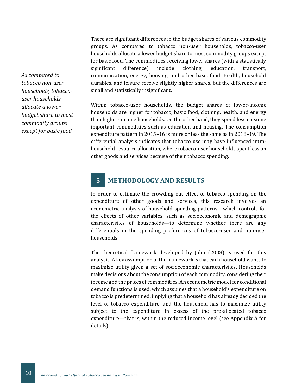There are significant differences in the budget shares of various commodity groups. As compared to tobacco non-user households, tobacco-user households allocate a lower budget share to most commodity groups except for basic food. The commodities receiving lower shares (with a statistically significant difference) include clothing, education, transport, communication, energy, housing, and other basic food. Health, household durables, and leisure receive slightly higher shares, but the differences are small and statistically insignificant.

Within tobacco-user households, the budget shares of lower-income households are higher for tobacco, basic food, clothing, health, and energy than higher-income households. On the other hand, they spend less on some important commodities such as education and housing. The consumption expenditure pattern in 2015–16 is more or less the same as in 2018–19. The differential analysis indicates that tobacco use may have influenced intrahousehold resource allocation, where tobacco-user households spent less on other goods and services because of their tobacco spending.

### **5 METHODOLOGY AND RESULTS**

In order to estimate the crowding out effect of tobacco spending on the expenditure of other goods and services, this research involves an econometric analysis of household spending patterns—which controls for the effects of other variables, such as socioeconomic and demographic characteristics of households—to determine whether there are any differentials in the spending preferences of tobacco-user and non-user households.

The theoretical framework developed by John (2008) is used for this analysis. A key assumption of the framework is that each household wants to maximize utility given a set of socioeconomic characteristics. Households make decisions about the consumption of each commodity, considering their income and the prices of commodities. An econometric model for conditional demand functions is used, which assumes that a household's expenditure on tobacco is predetermined, implying that a household has already decided the level of tobacco expenditure, and the household has to maximize utility subject to the expenditure in excess of the pre-allocated tobacco expenditure—that is, within the reduced income level (see Appendix A for details).

*As compared to tobacco non-user households, tobaccouser households allocate a lower budget share to most commodity groups except for basic food.*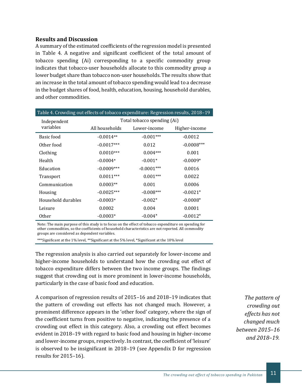#### **Results and Discussion**

A summary of the estimated coefficients of the regression model is presented in Table 4. A negative and significant coefficient of the total amount of tobacco spending (Ai) corresponding to a specific commodity group indicates that tobacco-user households allocate to this commodity group a lower budget share than tobacco non-user households. The results show that an increase in the total amount of tobacco spending would lead to a decrease in the budget shares of food, health, education, housing, household durables, and other commodities.

| Table 4. Crowding out effects of tobacco expenditure: Regression results, 2018-19 |                             |              |               |  |  |  |  |
|-----------------------------------------------------------------------------------|-----------------------------|--------------|---------------|--|--|--|--|
| Independent                                                                       | Total tobacco spending (Ai) |              |               |  |  |  |  |
| variables                                                                         | All households              | Lower-income | Higher-income |  |  |  |  |
| Basic food                                                                        | $-0.0014**$                 | $-0.001***$  | $-0.0012$     |  |  |  |  |
| Other food                                                                        | $-0.0017***$                | 0.012        | $-0.0008***$  |  |  |  |  |
| Clothing                                                                          | $0.0010***$                 | $0.004***$   | 0.001         |  |  |  |  |
| Health                                                                            | $-0.0004*$                  | $-0.001*$    | $-0.0009*$    |  |  |  |  |
| Education                                                                         | $-0.0009***$                | $-0.0001***$ | 0.0016        |  |  |  |  |
| <b>Transport</b>                                                                  | $0.0011***$                 | $0.001***$   | 0.0022        |  |  |  |  |
| Communication                                                                     | $0.0003**$                  | 0.001        | 0.0006        |  |  |  |  |
| Housing                                                                           | $-0.0025***$                | $-0.008***$  | $-0.0021*$    |  |  |  |  |
| Household durables                                                                | $-0.0003*$                  | $-0.002*$    | $-0.0008*$    |  |  |  |  |
| Leisure                                                                           | 0.0002                      | 0.004        | 0.0001        |  |  |  |  |
| 0ther                                                                             | $-0.0003*$                  | $-0.004*$    | $-0.0012*$    |  |  |  |  |

Note: The main purpose of this study is to focus on the effect of tobacco expenditure on spending for other commodities, so the coefficients of household characteristics are not reported. All commodity groups are considered as dependent variables.

\*\*\*Significant at the 1% level, \*\*Significant at the 5% level, \*Significant at the 10% level

The regression analysis is also carried out separately for lower-income and higher-income households to understand how the crowding out effect of tobacco expenditure differs between the two income groups. The findings suggest that crowding out is more prominent in lower-income households, particularly in the case of basic food and education.

A comparison of regression results of 2015–16 and 2018–19 indicates that the pattern of crowding out effects has not changed much. However, a prominent difference appears in the 'other food' category, where the sign of the coefficient turns from positive to negative, indicating the presence of a crowding out effect in this category. Also, a crowding out effect becomes evident in 2018–19 with regard to basic food and housing in higher-income and lower-income groups, respectively. In contrast, the coefficient of 'leisure' is observed to be insignificant in 2018–19 (see Appendix D for regression results for 2015–16).

*The pattern of crowding out effects has not changed much between 2015–16 and 2018–19.*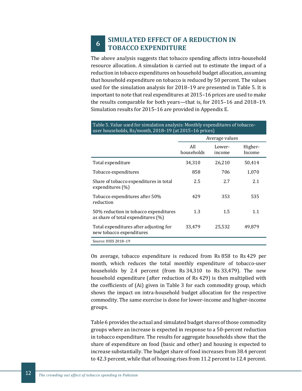#### **6 SIMULATED EFFECT OF A REDUCTION IN TOBACCO EXPENDITURE**

The above analysis suggests that tobacco spending affects intra-household resource allocation. A simulation is carried out to estimate the impact of a reduction in tobacco expenditures on household budget allocation, assuming that household expenditure on tobacco is reduced by 50 percent. The values used for the simulation analysis for 2018–19 are presented in Table 5. It is important to note that real expenditures at 2015–16 prices are used to make the results comparable for both years—that is, for 2015–16 and 2018–19. Simulation results for 2015–16 are provided in Appendix E.

| user households, Rs/month, 2018–19 (at 2015–16 prices)                         |                   |                  |                   |  |  |  |  |  |
|--------------------------------------------------------------------------------|-------------------|------------------|-------------------|--|--|--|--|--|
|                                                                                | Average values    |                  |                   |  |  |  |  |  |
|                                                                                | All<br>households | Lower-<br>income | Higher-<br>Income |  |  |  |  |  |
| Total expenditure                                                              | 34,310            | 26,210           | 50,414            |  |  |  |  |  |
| Tobacco expenditures                                                           | 858               | 706              | 1,070             |  |  |  |  |  |
| Share of tobacco expenditures in total<br>expenditures (%)                     | 2.5               | 2.7              | 2.1               |  |  |  |  |  |
| Tobacco expenditures after 50%<br>reduction                                    | 429               | 353              | 535               |  |  |  |  |  |
| 50% reduction in tobacco expenditures<br>as share of total expenditures $(\%)$ | 1.3               | 1.5              | 1.1               |  |  |  |  |  |
| Total expenditures after adjusting for<br>new tobacco expenditures             | 33,479            | 25,532           | 49,879            |  |  |  |  |  |
| Source: HIES 2018-19                                                           |                   |                  |                   |  |  |  |  |  |

#### Table 5. Value used for simulation analysis: Monthly expenditures of tobaccouser households, Rs/month, 2018–19 (at 2015–16 prices)

On average, tobacco expenditure is reduced from Rs 858 to Rs 429 per month, which reduces the total monthly expenditure of tobacco-user households by 2.4 percent (from Rs 34,310 to Rs 33,479). The new household expenditure (after reduction of Rs 429) is then multiplied with the coefficients of (Ai) given in Table 3 for each commodity group, which shows the impact on intra-household budget allocation for the respective commodity. The same exercise is done for lower-income and higher-income groups.

Table 6 provides the actual and simulated budget shares of those commodity groups where an increase is expected in response to a 50-percent reduction in tobacco expenditure. The results for aggregate households show that the share of expenditure on food (basic and other) and housing is expected to increase substantially. The budget share of food increases from 38.4 percent to 42.3 percent, while that of housing rises from 11.2 percent to 12.4 percent.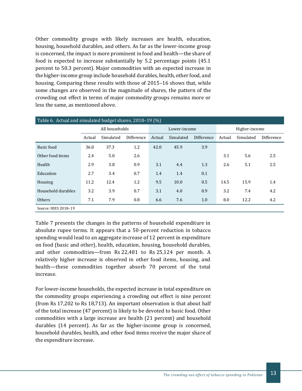Other commodity groups with likely increases are health, education, housing, household durables, and others. As far as the lower-income group is concerned, the impact is more prominent in food and health—the share of food is expected to increase substantially by 5.2 percentage points (45.1 percent to 50.3 percent). Major commodities with an expected increase in the higher-income group include household durables, health, other food, and housing. Comparing these results with those of 2015–16 shows that, while some changes are observed in the magnitude of shares, the pattern of the crowding out effect in terms of major commodity groups remains more or less the same, as mentioned above.

| Table 6. Actual and simulated budget shares, 2018-19 (%) |        |                                                 |            |        |           |                   |        |           |            |
|----------------------------------------------------------|--------|-------------------------------------------------|------------|--------|-----------|-------------------|--------|-----------|------------|
|                                                          |        | All households<br>Higher-income<br>Lower-income |            |        |           |                   |        |           |            |
|                                                          | Actual | Simulated                                       | Difference | Actual | Simulated | <b>Difference</b> | Actual | Simulated | Difference |
| Basic food                                               | 36.0   | 37.3                                            | 1.2        | 42.0   | 45.9      | 3.9               |        |           |            |
| Other food items                                         | 2.4    | 5.0                                             | 2.6        |        |           |                   | 3.1    | 5.6       | 2.5        |
| Health                                                   | 2.9    | 3.8                                             | 0.9        | 3.1    | 4.4       | 1.3               | 2.6    | 5.1       | 2.5        |
| Education                                                | 2.7    | 3.4                                             | 0.7        | 1.4    | 1.4       | 0.1               |        |           |            |
| Housing                                                  | 11.2   | 12.4                                            | 1.2        | 9.5    | 10.0      | 0.5               | 14.5   | 15.9      | 1.4        |
| Household durables                                       | 3.2    | 3.9                                             | 0.7        | 3.1    | 4.0       | 0.9               | 3.2    | 7.4       | 4.2        |
| Others                                                   | 7.1    | 7.9                                             | 0.8        | 6.6    | 7.6       | 1.0               | 8.0    | 12.2      | 4.2        |
| Source: HIES 2018-19                                     |        |                                                 |            |        |           |                   |        |           |            |

Table 7 presents the changes in the patterns of household expenditure in absolute rupee terms. It appears that a 50-percent reduction in tobacco spending would lead to an aggregate increase of 12 percent in expenditure on food (basic and other), health, education, housing, household durables, and other commodities—from Rs 22,481 to Rs 25,124 per month. A relatively higher increase is observed in other food items, housing, and health—these commodities together absorb 70 percent of the total increase.

For lower-income households, the expected increase in total expenditure on the commodity groups experiencing a crowding out effect is nine percent (from Rs 17,202 to Rs 18,713). An important observation is that about half of the total increase (47 percent) is likely to be devoted to basic food. Other commodities with a large increase are health (21 percent) and household durables (14 percent). As far as the higher-income group is concerned, household durables, health, and other food items receive the major share of the expenditure increase.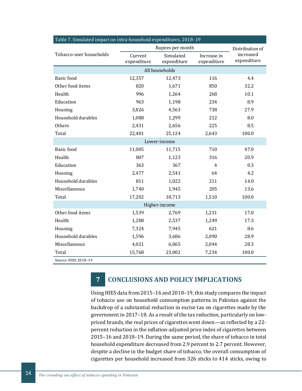| Table 7. Simulated impact on intra-nousehold expenditures, 2018–19 | Rupees per month       | Distribution of          |                            |                          |
|--------------------------------------------------------------------|------------------------|--------------------------|----------------------------|--------------------------|
| Tobacco-user households                                            | Current<br>expenditure | Simulated<br>expenditure | Increase in<br>expenditure | increased<br>expenditure |
|                                                                    |                        |                          |                            |                          |
| <b>Basic</b> food                                                  | 12,357                 | 12,473                   | 116                        | 4.4                      |
| Other food items                                                   | 820                    | 1,671                    | 850                        | 32.2                     |
| Health                                                             | 996                    | 1,264                    | 268                        | 10.1                     |
| Education                                                          | 963                    | 1,198                    | 234                        | 8.9                      |
| Housing                                                            | 3,826                  | 4,563                    | 738                        | 27.9                     |
| Household durables                                                 | 1,088                  | 1,299                    | 212                        | 8.0                      |
| Others                                                             | 2,431                  | 2,656                    | 225                        | 8.5                      |
| Total                                                              | 22,481                 | 25,124                   | 2,643                      | 100.0                    |
|                                                                    |                        | Lower-income             |                            |                          |
| <b>Basic</b> food                                                  | 11,005                 | 11,715                   | 710                        | 47.0                     |
| Health                                                             | 807                    | 1,123                    | 316                        | 20.9                     |
| Education                                                          | 363                    | 367                      | 4                          | 0.3                      |
| Housing                                                            | 2,477                  | 2,541                    | 64                         | 4.2                      |
| Household durables                                                 | 811                    | 1,022                    | 211                        | 14.0                     |
| Miscellaneous                                                      | 1,740                  | 1,945                    | 205                        | 13.6                     |
| Total                                                              | 17,202                 | 18,713                   | 1,510                      | 100.0                    |
|                                                                    |                        | Higher-income            |                            |                          |
| Other food items                                                   | 1,539                  | 2,769                    | 1,231                      | 17.0                     |
| Health                                                             | 1,288                  | 2,537                    | 1,249                      | 17.3                     |
| Housing                                                            | 7,324                  | 7,945                    | 621                        | 8.6                      |
| Household durables                                                 | 1,596                  | 3,686                    | 2,090                      | 28.9                     |
| Miscellaneous                                                      | 4,021                  | 6,065                    | 2,044                      | 28.3                     |
| Total                                                              | 15,768                 | 23,002                   | 7,234                      | 100.0                    |
| Source: HIES 2018-19                                               |                        |                          |                            |                          |

#### Table 7. Simulated impact on intra-household expenditures, 2018–19

## **7 CONCLUSIONS AND POLICY IMPLICATIONS**

Using HIES data from 2015–16 and 2018–19, this study compares the impact of tobacco use on household consumption patterns in Pakistan against the backdrop of a substantial reduction in excise tax on cigarettes made by the government in 2017–18. As a result of the tax reduction, particularly on lowpriced brands, the real prices of cigarettes went down—as reflected by a 22 percent reduction in the inflation-adjusted price index of cigarettes between 2015–16 and 2018–19. During the same period, the share of tobacco in total household expenditure decreased from 2.9 percent to 2.7 percent. However, despite a decline in the budget share of tobacco, the overall consumption of cigarettes per household increased from 326 sticks to 414 sticks, owing to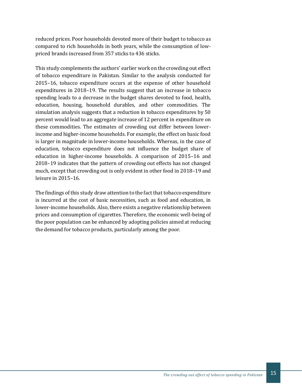reduced prices. Poor households devoted more of their budget to tobacco as compared to rich households in both years, while the consumption of lowpriced brands increased from 357 sticks to 436 sticks.

This study complements the authors' earlier work on the crowding out effect of tobacco expenditure in Pakistan. Similar to the analysis conducted for 2015–16, tobacco expenditure occurs at the expense of other household expenditures in 2018–19. The results suggest that an increase in tobacco spending leads to a decrease in the budget shares devoted to food, health, education, housing, household durables, and other commodities. The simulation analysis suggests that a reduction in tobacco expenditures by 50 percent would lead to an aggregate increase of 12 percent in expenditure on these commodities. The estimates of crowding out differ between lowerincome and higher-income households. For example, the effect on basic food is larger in magnitude in lower-income households. Whereas, in the case of education, tobacco expenditure does not influence the budget share of education in higher-income households. A comparison of 2015–16 and 2018–19 indicates that the pattern of crowding out effects has not changed much, except that crowding out is only evident in other food in 2018–19 and leisure in 2015–16.

The findings of this study draw attention to the fact that tobacco expenditure is incurred at the cost of basic necessities, such as food and education, in lower-income households. Also, there exists a negative relationship between prices and consumption of cigarettes. Therefore, the economic well-being of the poor population can be enhanced by adopting policies aimed at reducing the demand for tobacco products, particularly among the poor.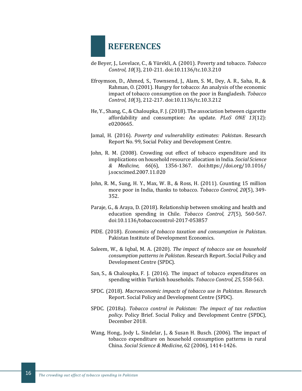## **REFERENCES**

- de Beyer, J., Lovelace, C., & Yürekli, A. (2001). Poverty and tobacco. *Tobacco Control, 10*(3), 210-211. doi:10.1136/tc.10.3.210
- Efroymson, D., Ahmed, S., Townsend, J., Alam, S. M., Dey, A. R., Saha, R., & Rahman, O. (2001). Hungry for tobacco: An analysis of the economic impact of tobacco consumption on the poor in Bangladesh. *Tobacco Control, 10*(3), 212-217. doi:10.1136/tc.10.3.212
- He, Y., Shang, C., & Chaloupka, F. J. (2018). The association between cigarette affordability and consumption: An update. *PLoS ONE 13*(12): e0200665.
- Jamal, H. (2016). *Poverty and vulnerability estimates: Pakistan*. Research Report No. 99, Social Policy and Development Centre.
- John, R. M. (2008). Crowding out effect of tobacco expenditure and its implications on household resource allocation in India. *Social Science & Medicine, 66*(6), 1356-1367. doi:https://doi.org/10.1016/ j.socscimed.2007.11.020
- John, R. M., Sung, H. Y., Max, W. B., & Ross, H. (2011). Counting 15 million more poor in India, thanks to tobacco. *Tobacco Control, 20*(5), 349- 352.
- Paraje, G., & Araya, D. (2018). Relationship between smoking and health and education spending in Chile. *Tobacco Control, 27*(5), 560-567. doi:10.1136/tobaccocontrol-2017-053857
- PIDE. (2018). *Economics of tobacco taxation and consumption in Pakistan*. Pakistan Institute of Development Economics.
- Saleem, W., & Iqbal, M. A. (2020). *The impact of tobacco use on household consumption patterns in Pakistan*. Research Report. Social Policy and Development Centre (SPDC).
- San, S., & Chaloupka, F. J. (2016). The impact of tobacco expenditures on spending within Turkish households. *Tobacco Control, 25*, 558-563.
- SPDC. (2018). *Macroeconomic impacts of tobacco use in Pakistan*. Research Report. Social Policy and Development Centre (SPDC).
- SPDC. (2018a). *Tobacco control in Pakistan: The impact of tax reduction policy*. Policy Brief. Social Policy and Development Centre (SPDC), December 2018.
- Wang, Hong., Jody L. Sindelar, J., & Susan H. Busch. (2006). The impact of tobacco expenditure on household consumption patterns in rural China. *Social Science & Medicine*, 62 (2006), 1414-1426.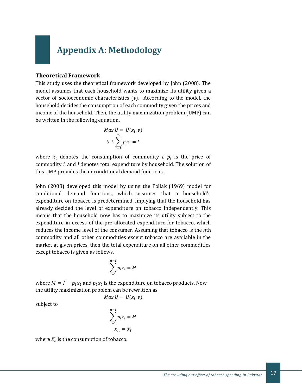## **Appendix A: Methodology**

#### **Theoretical Framework**

This study uses the theoretical framework developed by John (2008). The model assumes that each household wants to maximize its utility given a vector of socioeconomic characteristics (*v*). According to the model, the household decides the consumption of each commodity given the prices and income of the household. Then, the utility maximization problem (UMP) can be written in the following equation,

$$
Max U = U(x_i; v)
$$
  

$$
S. t \sum_{i=1}^{n} p_i x_i = I
$$

where  $x_i$  denotes the consumption of commodity *i*,  $p_i$  is the price of commodity *i*, and *I* denotes total expenditure by household. The solution of this UMP provides the unconditional demand functions.

John (2008) developed this model by using the Pollak (1969) model for conditional demand functions, which assumes that a household's expenditure on tobacco is predetermined, implying that the household has already decided the level of expenditure on tobacco independently. This means that the household now has to maximize its utility subject to the expenditure in excess of the pre-allocated expenditure for tobacco, which reduces the income level of the consumer. Assuming that tobacco is the *n*th commodity and all other commodities except tobacco are available in the market at given prices, then the total expenditure on all other commodities except tobacco is given as follows,

$$
\sum_{i=1}^{n-1} p_i x_i = M
$$

where  $M = I - p_t x_t$  and  $p_t x_t$  is the expenditure on tobacco products. Now the utility maximization problem can be rewritten as

$$
Max U = U(x_i; v)
$$

subject to

$$
\sum_{i=1}^{n-1} p_i x_i = M
$$

$$
x_n = \overline{x}_t
$$

where  $\bar{x_t}$  is the consumption of tobacco.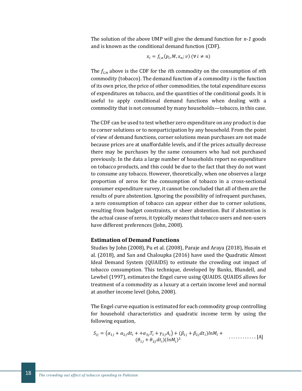The solution of the above UMP will give the demand function for *n-1* goods and is known as the conditional demand function (CDF).

$$
x_i = f_{i,n}(p_i, M, x_n; v) \quad (\forall \ i \neq n)
$$

The  $f_{i,n}$  above is the CDF for the *i*th commodity on the consumption of *n*th commodity (tobacco). The demand function of a commodity *i* is the function of its own price, the price of other commodities, the total expenditure excess of expenditures on tobacco, and the quantities of the conditional goods. It is useful to apply conditional demand functions when dealing with a commodity that is not consumed by many households—tobacco, in this case.

The CDF can be used to test whether zero expenditure on any product is due to corner solutions or to nonparticipation by any household. From the point of view of demand functions, corner solutions mean purchases are not made because prices are at unaffordable levels, and if the prices actually decrease there may be purchases by the same consumers who had not purchased previously. In the data a large number of households report no expenditure on tobacco products, and this could be due to the fact that they do not want to consume any tobacco. However, theoretically, when one observes a large proportion of zeros for the consumption of tobacco in a cross-sectional consumer expenditure survey, it cannot be concluded that all of them are the results of pure abstention. Ignoring the possibility of infrequent purchases, a zero consumption of tobacco can appear either due to corner solutions, resulting from budget constraints, or sheer abstention. But if abstention is the actual cause of zeros, it typically means that tobacco users and non-users have different preferences (John, 2008).

#### **Estimation of Demand Functions**

Studies by John (2008), Pu et al. (2008), Paraje and Araya (2018), Husain et al. (2018), and San and Chaloupka (2016) have used the Quadratic Almost Ideal Demand System (QUAIDS) to estimate the crowding out impact of tobacco consumption. This technique, developed by Banks, Blundell, and Lewbel (1997), estimates the Engel curve using QUAIDS. QUAIDS allows for treatment of a commodity as a luxury at a certain income level and normal at another income level (John, 2008).

The Engel curve equation is estimated for each commodity group controlling for household characteristics and quadratic income term by using the following equation,

$$
S_{ij} = (\alpha_{1j} + \alpha_{2j}dt_i + \alpha_{3j}T_i + \gamma_{5j}A_i) + (\beta_{1j} + \beta_{2j}dt_i)lnM_i +
$$
  
\n
$$
(\theta_{1j} + \theta_{2j}dt_i)(lnM_i)^2
$$
............ [A]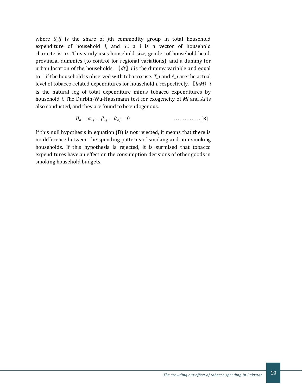where *S\_ij* is the share of *j*th commodity group in total household expenditure of household  $I$ , and  $\alpha i$  a i is a vector of household characteristics. This study uses household size, gender of household head, provincial dummies (to control for regional variations), and a dummy for urban location of the households.  $\llbracket dt \rrbracket$  *i* is the dummy variable and equal to 1 if the household is observed with tobacco use. *T\_i* and *A\_i* are the actual level of tobacco-related expenditures for household *i*, respectively. 〖*lnM*〗*i* is the natural log of total expenditure minus tobacco expenditures by household *i*. The Durbin-Wu-Hausmann test for exogeneity of *Mi* and *Ai* is also conducted, and they are found to be endogenous.

$$
H_o = \alpha_{2j} = \beta_{2j} = \theta_{2j} = 0 \qquad \qquad \dots \dots \dots \dots \tag{B}
$$

If this null hypothesis in equation (B) is not rejected, it means that there is no difference between the spending patterns of smoking and non-smoking households. If this hypothesis is rejected, it is surmised that tobacco expenditures have an effect on the consumption decisions of other goods in smoking household budgets.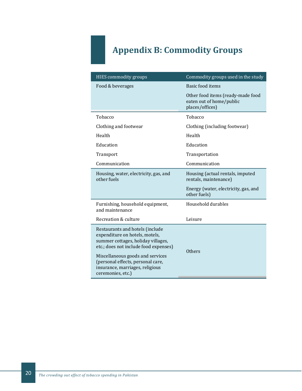## **Appendix B: Commodity Groups**

| HIES commodity groups                                                                                                                                                                                                                                                             | Commodity groups used in the study                                               |
|-----------------------------------------------------------------------------------------------------------------------------------------------------------------------------------------------------------------------------------------------------------------------------------|----------------------------------------------------------------------------------|
| Food & beverages                                                                                                                                                                                                                                                                  | Basic food items                                                                 |
|                                                                                                                                                                                                                                                                                   | Other food items (ready-made food<br>eaten out of home/public<br>places/offices) |
| Tobacco                                                                                                                                                                                                                                                                           | Tobacco                                                                          |
| Clothing and footwear                                                                                                                                                                                                                                                             | Clothing (including footwear)                                                    |
| Health                                                                                                                                                                                                                                                                            | Health                                                                           |
| Education                                                                                                                                                                                                                                                                         | Education                                                                        |
| Transport                                                                                                                                                                                                                                                                         | Transportation                                                                   |
| Communication                                                                                                                                                                                                                                                                     | Communication                                                                    |
| Housing, water, electricity, gas, and<br>other fuels                                                                                                                                                                                                                              | Housing (actual rentals, imputed<br>rentals, maintenance)                        |
|                                                                                                                                                                                                                                                                                   | Energy (water, electricity, gas, and<br>other fuels)                             |
| Furnishing, household equipment,<br>and maintenance                                                                                                                                                                                                                               | Household durables                                                               |
| Recreation & culture                                                                                                                                                                                                                                                              | Leisure                                                                          |
| Restaurants and hotels (include<br>expenditure on hotels, motels,<br>summer cottages, holiday villages,<br>etc.; does not include food expenses)<br>Miscellaneous goods and services<br>(personal effects, personal care,<br>insurance, marriages, religious<br>ceremonies, etc.) | Others                                                                           |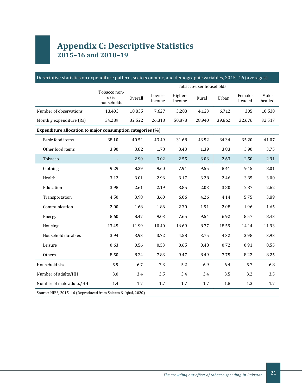## **Appendix C: Descriptive Statistics 2015–16 and 2018–19**

|                                                            |                                    |                |                  |                   | Tobacco-user households |        |                   |                 |
|------------------------------------------------------------|------------------------------------|----------------|------------------|-------------------|-------------------------|--------|-------------------|-----------------|
|                                                            | Tobacco non-<br>user<br>households | <b>Overall</b> | Lower-<br>income | Higher-<br>income | Rural                   | Urban  | Female-<br>headed | Male-<br>headed |
| Number of observations                                     | 13,403                             | 10,835         | 7,627            | 3,208             | 4,123                   | 6,712  | 305               | 10,530          |
| Monthly expenditure (Rs)                                   | 34,289                             | 32,522         | 26,318           | 50,878            | 28,940                  | 39,862 | 32,676            | 32,517          |
| Expenditure allocation to major consumption categories (%) |                                    |                |                  |                   |                         |        |                   |                 |
| Basic food items                                           | 38.10                              | 40.51          | 43.49            | 31.68             | 43.52                   | 34.34  | 35.20             | 41.07           |
| Other food items                                           | 3.90                               | 3.82           | 1.78             | 3.43              | 1.39                    | 3.83   | 3.90              | 3.75            |
| Tobacco                                                    |                                    | 2.90           | 3.02             | 2.55              | 3.03                    | 2.63   | 2.50              | 2.91            |
| Clothing                                                   | 9.29                               | 8.29           | 9.60             | 7.91              | 9.55                    | 8.41   | 9.15              | 8.01            |
| Health                                                     | 3.12                               | 3.01           | 2.96             | 3.17              | 3.28                    | 2.46   | 3.35              | 3.00            |
| Education                                                  | 3.98                               | 2.61           | 2.19             | 3.85              | 2.03                    | 3.80   | 2.37              | 2.62            |
| Transportation                                             | 4.50                               | 3.98           | 3.60             | 6.06              | 4.26                    | 4.14   | 5.75              | 3.89            |
| Communication                                              | 2.00                               | 1.68           | 1.86             | 2.30              | 1.91                    | 2.08   | 1.96              | 1.65            |
| Energy                                                     | 8.60                               | 8.47           | 9.03             | 7.65              | 9.54                    | 6.92   | 8.57              | 8.43            |
| Housing                                                    | 13.45                              | 11.99          | 10.40            | 16.69             | 8.77                    | 18.59  | 14.14             | 11.93           |
| Household durables                                         | 3.94                               | 3.93           | 3.72             | 4.58              | 3.75                    | 4.32   | 3.98              | 3.93            |
| Leisure                                                    | 0.63                               | 0.56           | 0.53             | 0.65              | 0.48                    | 0.72   | 0.91              | 0.55            |
| Others                                                     | 8.50                               | 8.24           | 7.83             | 9.47              | 8.49                    | 7.75   | 8.22              | 8.25            |
| Household size                                             | 5.9                                | 6.7            | 7.3              | 5.2               | 6.9                     | 6.4    | 5.7               | 6.8             |
| Number of adults/HH                                        | 3.0                                | 3.4            | 3.5              | 3.4               | 3.4                     | 3.5    | 3.2               | 3.5             |
| Number of male adults/HH                                   | 1.4                                | 1.7            | 1.7              | $1.7\,$           | 1.7                     | 1.8    | 1.3               | 1.7             |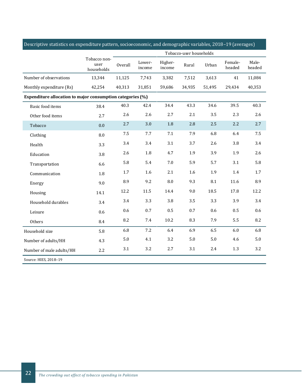| Descriptive statistics on expenditure pattern, socioeconomic, and demographic variables, 2018–19 (averages) |                                    |         |                  |                   |                         |         |                   |                 |
|-------------------------------------------------------------------------------------------------------------|------------------------------------|---------|------------------|-------------------|-------------------------|---------|-------------------|-----------------|
|                                                                                                             |                                    |         |                  |                   | Tobacco-user households |         |                   |                 |
|                                                                                                             | Tobacco non-<br>user<br>households | Overall | Lower-<br>income | Higher-<br>income | Rural                   | Urban   | Female-<br>headed | Male-<br>headed |
| Number of observations                                                                                      | 13,344                             | 11,125  | 7,743            | 3,382             | 7,512                   | 3,613   | 41                | 11,084          |
| Monthly expenditure (Rs)                                                                                    | 42,254                             | 40,313  | 31,851           | 59,686            | 34,935                  | 51,495  | 29,434            | 40,353          |
| Expenditure allocation to major consumption categories (%)                                                  |                                    |         |                  |                   |                         |         |                   |                 |
| Basic food items                                                                                            | 38.4                               | 40.3    | 42.4             | 34.4              | 43.3                    | 34.6    | 39.5              | 40.3            |
| Other food items                                                                                            | 2.7                                | 2.6     | 2.6              | 2.7               | 2.1                     | 3.5     | 2.3               | 2.6             |
| Tobacco                                                                                                     | 0.0                                | 2.7     | 3.0              | 1.8               | 2.8                     | 2.5     | 2.2               | 2.7             |
| Clothing                                                                                                    | 8.0                                | 7.5     | 7.7              | $7.1\,$           | 7.9                     | 6.8     | 6.4               | 7.5             |
| Health                                                                                                      | 3.3                                | 3.4     | 3.4              | 3.1               | 3.7                     | 2.6     | 3.8               | 3.4             |
| Education                                                                                                   | 3.8                                | 2.6     | 1.8              | 4.7               | 1.9                     | 3.9     | 1.9               | 2.6             |
| Transportation                                                                                              | 6.6                                | 5.8     | 5.4              | $7.0\,$           | 5.9                     | 5.7     | 3.1               | 5.8             |
| Communication                                                                                               | 1.8                                | 1.7     | 1.6              | 2.1               | 1.6                     | 1.9     | 1.4               | $1.7\,$         |
| Energy                                                                                                      | 9.0                                | 8.9     | 9.2              | $\,8.0$           | 9.3                     | 8.1     | 11.6              | 8.9             |
| Housing                                                                                                     | 14.1                               | 12.2    | 11.5             | 14.4              | 9.0                     | 18.5    | 17.8              | 12.2            |
| Household durables                                                                                          | 3.4                                | 3.4     | 3.3              | 3.8               | 3.5                     | 3.3     | 3.9               | 3.4             |
| Leisure                                                                                                     | 0.6                                | 0.6     | 0.7              | 0.5               | 0.7                     | 0.6     | 0.5               | 0.6             |
| Others                                                                                                      | 8.4                                | 8.2     | 7.4              | 10.2              | 8.3                     | 7.9     | 5.5               | 8.2             |
| Household size                                                                                              | 5.8                                | 6.8     | 7.2              | 6.4               | 6.9                     | 6.5     | 6.0               | 6.8             |
| Number of adults/HH                                                                                         | 4.3                                | $5.0\,$ | 4.1              | 3.2               | $5.0\,$                 | $5.0\,$ | 4.6               | 5.0             |
| Number of male adults/HH                                                                                    | 2.2                                | 3.1     | 3.2              | 2.7               | 3.1                     | 2.4     | 1.3               | 3.2             |
| Source: HIES, 2018-19                                                                                       |                                    |         |                  |                   |                         |         |                   |                 |

#### Descriptive statistics on expenditure pattern, socioeconomic, and demographic variables, 2018–19 (averages)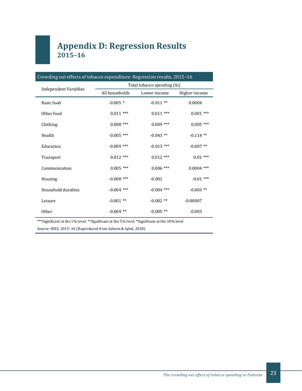## **Appendix D: Regression Results 2015–16**

| Crowding out effects of tobacco expenditure: Regression results, 2015-16 |                             |              |               |  |  |  |  |
|--------------------------------------------------------------------------|-----------------------------|--------------|---------------|--|--|--|--|
| <b>Independent Variables</b>                                             | Total tobacco spending (Ai) |              |               |  |  |  |  |
|                                                                          | All households              | Lower-income | Higher-income |  |  |  |  |
| Basic food                                                               | $-0.005*$                   | $-0.011**$   | 0.0004        |  |  |  |  |
| Other food                                                               | $0.011$ ***                 | $0.011$ ***  | $0.001$ ***   |  |  |  |  |
| Clothing                                                                 | $0.008$ ***                 | $0.009$ ***  | $0.005$ ***   |  |  |  |  |
| Health                                                                   | $-0.005$ ***                | $-0.043$ **  | $-0.114$ **   |  |  |  |  |
| Education                                                                | $-0.009$ ***                | $-0.013$ *** | $-0.007$ **   |  |  |  |  |
| Transport                                                                | $0.012$ ***                 | $0.012$ ***  | $0.01***$     |  |  |  |  |
| Communication                                                            | $0.005$ ***                 | $0.006$ ***  | $0.0004$ ***  |  |  |  |  |
| Housing                                                                  | $-0.008$ ***                | $-0.001$     | $-0.01$ ***   |  |  |  |  |
| Household durables                                                       | $-0.004$ ***                | $-0.004$ *** | $-0.003$ **   |  |  |  |  |
| Leisure                                                                  | $-0.001$ **                 | $-0.002$ **  | $-0.00007$    |  |  |  |  |
| <b>Other</b>                                                             | $-0.004$ **                 | $-0.005$ **  | $-0.003$      |  |  |  |  |

\*\*\*Significant at the 1% level, \*\*Significant at the 5% level, \*Significant at the 10% level

Source: HIES, 2015–16 (Reproduced from Saleem & Iqbal, 2020)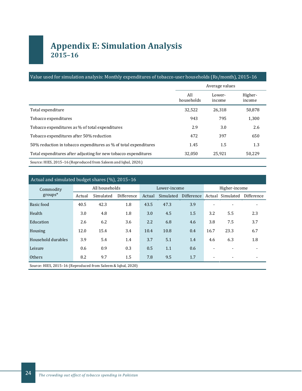## **Appendix E: Simulation Analysis 2015–16**

#### Value used for simulation analysis: Monthly expenditures of tobacco-user households (Rs/month), 2015–16

|                                                                  |                   | Average values   |                   |
|------------------------------------------------------------------|-------------------|------------------|-------------------|
|                                                                  | All<br>households | Lower-<br>income | Higher-<br>income |
| Total expenditure                                                | 32,522            | 26,318           | 50,878            |
| Tobacco expenditures                                             | 943               | 795              | 1,300             |
| Tobacco expenditures as % of total expenditures                  | 2.9               | 3.0              | 2.6               |
| Tobacco expenditures after 50% reduction                         | 472               | 397              | 650               |
| 50% reduction in tobacco expenditures as % of total expenditures | 1.45              | $1.5\,$          | 1.3               |
| Total expenditures after adjusting for new tobacco expenditures  | 32,050            | 25,921           | 50,229            |
| Source: HIES, 2015-16 (Reproduced from Saleem and Iqbal, 2020.)  |                   |                  |                   |

| Actual and simulated budget shares (%), 2015-16              |                |           |            |              |           |            |                          |           |            |
|--------------------------------------------------------------|----------------|-----------|------------|--------------|-----------|------------|--------------------------|-----------|------------|
| Commodity                                                    | All households |           |            | Lower-income |           |            | Higher-income            |           |            |
| $groups*$                                                    | Actual         | Simulated | Difference | Actual       | Simulated | Difference | Actual                   | Simulated | Difference |
| Basic food                                                   | 40.5           | 42.3      | 1.8        | 43.5         | 47.3      | 3.9        |                          |           |            |
| Health                                                       | 3.0            | 4.8       | 1.8        | 3.0          | 4.5       | 1.5        | 3.2                      | 5.5       | 2.3        |
| Education                                                    | 2.6            | 6.2       | 3.6        | 2.2          | 6.8       | 4.6        | 3.8                      | 7.5       | 3.7        |
| Housing                                                      | 12.0           | 15.4      | 3.4        | 10.4         | 10.8      | 0.4        | 16.7                     | 23.3      | 6.7        |
| Household durables                                           | 3.9            | 5.4       | 1.4        | 3.7          | 5.1       | 1.4        | 4.6                      | 6.3       | 1.8        |
| Leisure                                                      | 0.6            | 0.9       | 0.3        | 0.5          | 1.1       | 0.6        |                          |           |            |
| Others                                                       | 8.2            | 9.7       | 1.5        | 7.8          | 9.5       | 1.7        | $\overline{\phantom{a}}$ |           |            |
| Source: HIES, 2015-16 (Reproduced from Saleem & Igbal, 2020) |                |           |            |              |           |            |                          |           |            |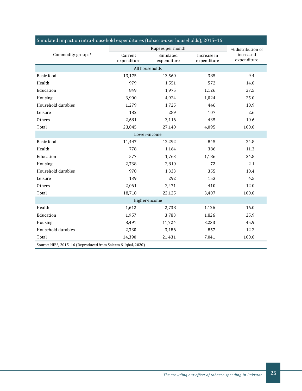| Simulated impact on intra-household expenditures (tobacco-user households), 2015-16<br>Rupees per month |               |                          |                                |             |  |  |  |  |  |
|---------------------------------------------------------------------------------------------------------|---------------|--------------------------|--------------------------------|-------------|--|--|--|--|--|
| Commodity groups*                                                                                       | Current       | Increase in              | % distribution of<br>increased |             |  |  |  |  |  |
|                                                                                                         | expenditure   | Simulated<br>expenditure | expenditure                    | expenditure |  |  |  |  |  |
|                                                                                                         |               |                          |                                |             |  |  |  |  |  |
| <b>Basic</b> food                                                                                       | 13,175        | 13,560                   | 385                            | 9.4         |  |  |  |  |  |
| Health                                                                                                  | 979           | 1,551                    | 572                            | 14.0        |  |  |  |  |  |
| Education                                                                                               | 849           | 1,975                    | 1,126                          | 27.5        |  |  |  |  |  |
| Housing                                                                                                 | 3,900         | 4,924                    | 1,024                          | 25.0        |  |  |  |  |  |
| Household durables                                                                                      | 1,279         | 1,725                    | 446                            | 10.9        |  |  |  |  |  |
| Leisure                                                                                                 | 182           | 289                      | 107                            | 2.6         |  |  |  |  |  |
| Others                                                                                                  | 2,681         | 3,116                    | 435                            | 10.6        |  |  |  |  |  |
| Total                                                                                                   | 23,045        | 27,140                   | 4,095                          | 100.0       |  |  |  |  |  |
| Lower-income                                                                                            |               |                          |                                |             |  |  |  |  |  |
| Basic food                                                                                              | 11,447        | 12,292                   | 845                            | 24.8        |  |  |  |  |  |
| Health                                                                                                  | 778           | 1,164                    | 386                            | 11.3        |  |  |  |  |  |
| Education                                                                                               | 577           | 1,763                    | 1,186                          | 34.8        |  |  |  |  |  |
| Housing                                                                                                 | 2,738         | 2,810                    | 72                             | 2.1         |  |  |  |  |  |
| Household durables                                                                                      | 978           | 1,333                    | 355                            | 10.4        |  |  |  |  |  |
| Leisure                                                                                                 | 139           | 292                      | 153                            | 4.5         |  |  |  |  |  |
| Others                                                                                                  | 2,061         | 2,471                    | 410                            | 12.0        |  |  |  |  |  |
| Total                                                                                                   | 18,718        | 22,125                   | 3,407                          | 100.0       |  |  |  |  |  |
|                                                                                                         | Higher-income |                          |                                |             |  |  |  |  |  |
| Health                                                                                                  | 1,612         | 2,738                    | 1,126                          | 16.0        |  |  |  |  |  |
| Education                                                                                               | 1,957         | 3,783                    | 1,826                          | 25.9        |  |  |  |  |  |
| Housing                                                                                                 | 8,491         | 11,724                   | 3,233                          | 45.9        |  |  |  |  |  |
| Household durables                                                                                      | 2,330         | 3,186                    | 857                            | 12.2        |  |  |  |  |  |
| Total                                                                                                   | 14,390        | 21,431                   | 7,041                          | 100.0       |  |  |  |  |  |
| Source: HIES, 2015-16 (Reproduced from Saleem & Iqbal, 2020)                                            |               |                          |                                |             |  |  |  |  |  |